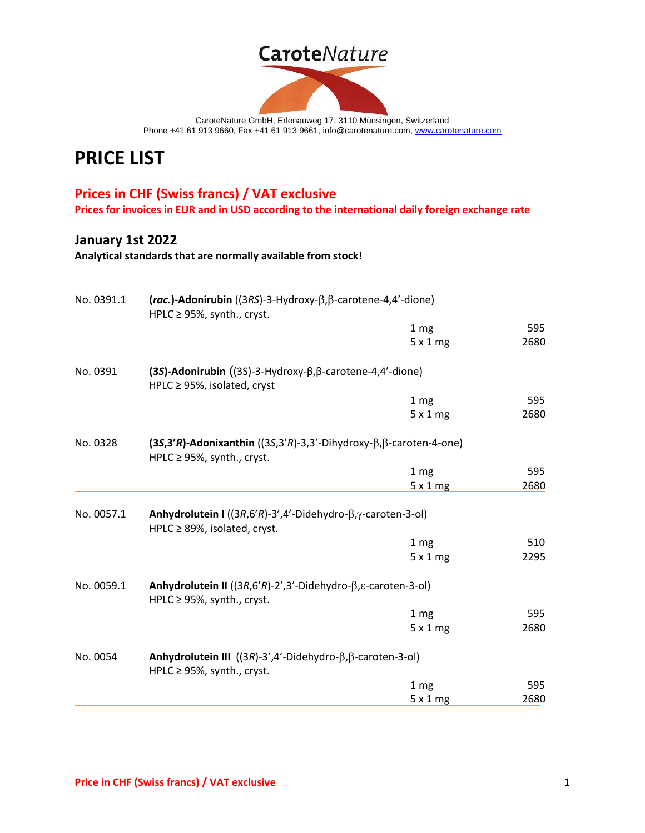# **Carote**Nature



CaroteNature GmbH, Erlenauweg 17, 3110 Münsingen, Switzerland Phone +41 61 913 9660, Fax +41 61 913 9661, info@carotenature.com, [www.carotenature.com](http://www.carotenature.com/)

## **PRICE LIST**

#### **Prices in CHF (Swiss francs) / VAT exclusive**

**Prices for invoices in EUR and in USD according to the international daily foreign exchange rate**

#### **January 1st 2022**

**Analytical standards that are normally available from stock!**

| No. 0391.1 | (rac.)-Adonirubin ((3RS)-3-Hydroxy- $\beta$ , $\beta$ -carotene-4,4'-dione)<br>HPLC ≥ 95%, synth., cryst. |                 |      |  |
|------------|-----------------------------------------------------------------------------------------------------------|-----------------|------|--|
|            |                                                                                                           | 1 <sub>mg</sub> | 595  |  |
|            |                                                                                                           | 5x1mg           | 2680 |  |
|            |                                                                                                           |                 |      |  |
| No. 0391   | $(35)$ -Adonirubin $((35)$ -3-Hydroxy- $\beta$ , $\beta$ -carotene-4,4'-dione)                            |                 |      |  |
|            | HPLC ≥ 95%, isolated, cryst                                                                               |                 |      |  |
|            |                                                                                                           | 1 <sub>mg</sub> | 595  |  |
|            |                                                                                                           | 5x1mg           | 2680 |  |
| No. 0328   | $(35,3'R)$ -Adonixanthin $((35,3'R)$ -3,3'-Dihydroxy- $\beta$ , $\beta$ -caroten-4-one)                   |                 |      |  |
|            | HPLC ≥ 95%, synth., cryst.                                                                                |                 |      |  |
|            |                                                                                                           | 1 <sub>mg</sub> | 595  |  |
|            |                                                                                                           | 5x1mg           | 2680 |  |
|            |                                                                                                           |                 |      |  |
| No. 0057.1 | Anhydrolutein I ( $(3R,6'R)$ -3',4'-Didehydro- $\beta$ , $\gamma$ -caroten-3-ol)                          |                 |      |  |
|            | HPLC $\geq$ 89%, isolated, cryst.                                                                         |                 |      |  |
|            |                                                                                                           | 1 <sub>mg</sub> | 510  |  |
|            |                                                                                                           | 5x1mg           | 2295 |  |
| No. 0059.1 | Anhydrolutein II ( $(3R,6'R)$ -2',3'-Didehydro- $\beta$ , $\varepsilon$ -caroten-3-ol)                    |                 |      |  |
|            | HPLC $\geq$ 95%, synth., cryst.                                                                           |                 |      |  |
|            |                                                                                                           | 1 <sub>mg</sub> | 595  |  |
|            |                                                                                                           | 5x1mg           | 2680 |  |
|            |                                                                                                           |                 |      |  |
| No. 0054   | Anhydrolutein III $((3R)-3',4'-Didehydro-\beta,\beta-caroten-3-ol)$                                       |                 |      |  |
|            | HPLC $\geq$ 95%, synth., cryst.                                                                           |                 |      |  |
|            |                                                                                                           | 1 <sub>mg</sub> | 595  |  |
|            |                                                                                                           | 5x1mg           | 2680 |  |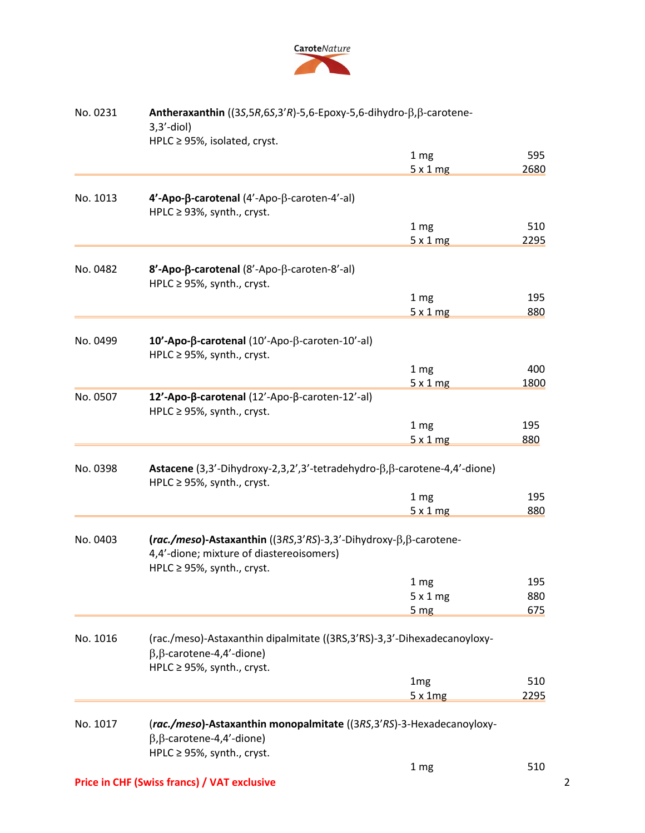

| No. 0231 | Antheraxanthin $((3S, 5R, 6S, 3'R) - 5, 6-Epoxy-5, 6-dihydro-\beta, \beta-carotene-$<br>$3,3'-diol$         |                 |      |  |
|----------|-------------------------------------------------------------------------------------------------------------|-----------------|------|--|
|          | HPLC $\geq$ 95%, isolated, cryst.                                                                           |                 |      |  |
|          |                                                                                                             | 1 <sub>mg</sub> | 595  |  |
|          |                                                                                                             | 5x1mg           | 2680 |  |
|          |                                                                                                             |                 |      |  |
| No. 1013 | 4'-Apo-β-carotenal $(4'-Apo-β$ -caroten-4'-al)                                                              |                 |      |  |
|          | HPLC ≥ 93%, synth., cryst.                                                                                  | 1 <sub>mg</sub> | 510  |  |
|          |                                                                                                             | 5x1mg           | 2295 |  |
|          |                                                                                                             |                 |      |  |
| No. 0482 | 8'-Apo-β-carotenal (8'-Apo-β-caroten-8'-al)                                                                 |                 |      |  |
|          | HPLC $\geq$ 95%, synth., cryst.                                                                             |                 |      |  |
|          |                                                                                                             | 1 <sub>mg</sub> | 195  |  |
|          |                                                                                                             | 5x1mg           | 880  |  |
|          |                                                                                                             |                 |      |  |
| No. 0499 | 10'-Apo-β-carotenal (10'-Apo-β-caroten-10'-al)<br>HPLC ≥ 95%, synth., cryst.                                |                 |      |  |
|          |                                                                                                             | 1 <sub>mg</sub> | 400  |  |
|          |                                                                                                             | 5x1mg           | 1800 |  |
| No. 0507 | 12'-Apo-β-carotenal (12'-Apo-β-caroten-12'-al)                                                              |                 |      |  |
|          | HPLC ≥ 95%, synth., cryst.                                                                                  |                 |      |  |
|          |                                                                                                             | 1 <sub>mg</sub> | 195  |  |
|          |                                                                                                             | 5x1mg           | 880  |  |
|          |                                                                                                             |                 |      |  |
| No. 0398 | Astacene (3,3'-Dihydroxy-2,3,2',3'-tetradehydro-β,β-carotene-4,4'-dione)<br>HPLC $\geq$ 95%, synth., cryst. |                 |      |  |
|          |                                                                                                             | 1 <sub>mg</sub> | 195  |  |
|          |                                                                                                             | 5x1mg           | 880  |  |
|          |                                                                                                             |                 |      |  |
| No. 0403 | (rac./meso)-Astaxanthin ((3RS,3'RS)-3,3'-Dihydroxy-β,β-carotene-                                            |                 |      |  |
|          | 4,4'-dione; mixture of diastereoisomers)                                                                    |                 |      |  |
|          | HPLC $\geq$ 95%, synth., cryst.                                                                             |                 |      |  |
|          |                                                                                                             | 1 mg            | 195  |  |
|          |                                                                                                             | 5x1mg           | 880  |  |
|          |                                                                                                             | 5 <sub>mg</sub> | 675  |  |
| No. 1016 | (rac./meso)-Astaxanthin dipalmitate ((3RS,3'RS)-3,3'-Dihexadecanoyloxy-                                     |                 |      |  |
|          | $\beta$ , $\beta$ -carotene-4,4'-dione)                                                                     |                 |      |  |
|          | HPLC ≥ 95%, synth., cryst.                                                                                  |                 |      |  |
|          |                                                                                                             | 1 <sub>mg</sub> | 510  |  |
|          |                                                                                                             | 5x1mg           | 2295 |  |
|          |                                                                                                             |                 |      |  |
| No. 1017 | (rac./meso)-Astaxanthin monopalmitate ((3RS,3'RS)-3-Hexadecanoyloxy-                                        |                 |      |  |
|          | $\beta$ , $\beta$ -carotene-4,4'-dione)                                                                     |                 |      |  |
|          | HPLC ≥ 95%, synth., cryst.                                                                                  |                 |      |  |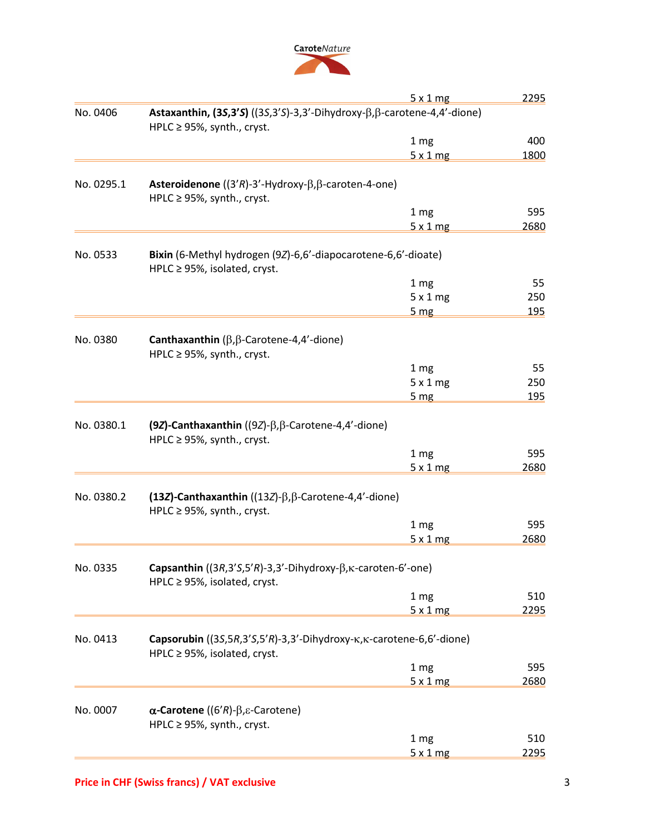

|            |                                                                                                             | 5x1mg           | 2295       |
|------------|-------------------------------------------------------------------------------------------------------------|-----------------|------------|
| No. 0406   | Astaxanthin, $(35,3'5)$ ( $(35,3'5)-3,3'$ -Dihydroxy- $\beta,\beta$ -carotene-4,4'-dione)                   |                 |            |
|            | HPLC ≥ 95%, synth., cryst.                                                                                  |                 |            |
|            |                                                                                                             | 1 <sub>mg</sub> | 400        |
|            |                                                                                                             | 5x1mg           | 1800       |
| No. 0295.1 | Asteroidenone ( $(3'R)$ -3'-Hydroxy- $\beta$ , $\beta$ -caroten-4-one)                                      |                 |            |
|            | HPLC $\geq$ 95%, synth., cryst.                                                                             |                 |            |
|            |                                                                                                             | 1 <sub>mg</sub> | 595        |
|            |                                                                                                             | 5x1mg           | 2680       |
| No. 0533   | Bixin (6-Methyl hydrogen (9Z)-6,6'-diapocarotene-6,6'-dioate)<br>HPLC ≥ 95%, isolated, cryst.               |                 |            |
|            |                                                                                                             | 1 <sub>mg</sub> | 55         |
|            |                                                                                                             | 5x1mg           | 250        |
|            |                                                                                                             | 5 <sub>mg</sub> | <u>195</u> |
| No. 0380   | Canthaxanthin ( $\beta$ , $\beta$ -Carotene-4,4'-dione)                                                     |                 |            |
|            | HPLC ≥ 95%, synth., cryst.                                                                                  |                 |            |
|            |                                                                                                             | 1 <sub>mg</sub> | 55         |
|            |                                                                                                             | 5x1mg           | 250        |
|            |                                                                                                             | 5 <sub>mg</sub> | <u>195</u> |
|            |                                                                                                             |                 |            |
| No. 0380.1 | (9Z)-Canthaxanthin $((9Z)-\beta,\beta$ -Carotene-4,4'-dione)<br>HPLC ≥ 95%, synth., cryst.                  |                 |            |
|            |                                                                                                             | 1 <sub>mg</sub> | 595        |
|            |                                                                                                             | 5x1mg           | 2680       |
| No. 0380.2 | (13Z)-Canthaxanthin ( $(13Z)$ - $\beta$ , $\beta$ -Carotene-4,4'-dione)<br>HPLC $\geq$ 95%, synth., cryst.  |                 |            |
|            |                                                                                                             | 1 <sub>mg</sub> | 595        |
|            |                                                                                                             | 5x1mg           | 2680       |
| No. 0335   | Capsanthin $((3R,3'S,5'R)-3,3'-Dihydroxy-\beta,\kappa-caroten-6'-one)$<br>HPLC $\geq$ 95%, isolated, cryst. |                 |            |
|            |                                                                                                             | 1 <sub>mg</sub> | 510        |
|            |                                                                                                             | 5x1mg           | 2295       |
| No. 0413   | Capsorubin ((3S,5R,3'S,5'R)-3,3'-Dihydroxy-K,K-carotene-6,6'-dione)<br>HPLC ≥ 95%, isolated, cryst.         |                 |            |
|            |                                                                                                             | 1 <sub>mg</sub> | 595        |
|            |                                                                                                             | 5x1mg           | 2680       |
| No. 0007   | $\alpha$ -Carotene ((6'R)- $\beta$ , $\varepsilon$ -Carotene)<br>HPLC $\geq$ 95%, synth., cryst.            |                 |            |
|            |                                                                                                             | 1 <sub>mg</sub> | 510        |
|            |                                                                                                             | 5x1mg           | 2295       |
|            |                                                                                                             |                 |            |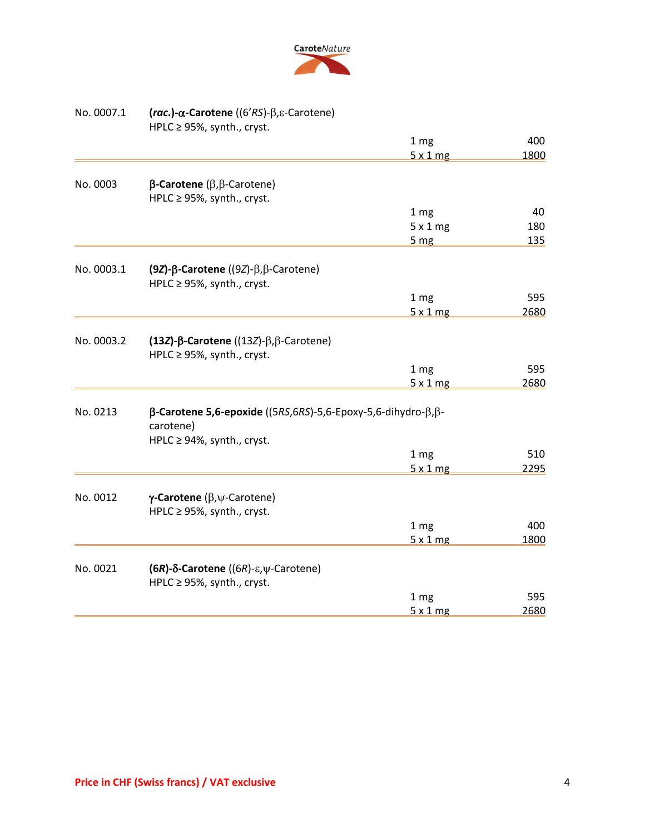

| No. 0007.1 | $\textsf{(rac.}\textsf{--}\alpha\textsf{-}\textsf{C}$ arotene ((6'RS)- $\beta$ , $\varepsilon\textsf{-}\textsf{C}$ arotene) |                 |      |
|------------|-----------------------------------------------------------------------------------------------------------------------------|-----------------|------|
|            | HPLC ≥ 95%, synth., cryst.                                                                                                  |                 |      |
|            |                                                                                                                             | 1 <sub>mg</sub> | 400  |
|            |                                                                                                                             | 5x1mg           | 1800 |
|            |                                                                                                                             |                 |      |
| No. 0003   | $\beta$ -Carotene (β,β-Carotene)                                                                                            |                 |      |
|            | HPLC ≥ 95%, synth., cryst.                                                                                                  |                 |      |
|            |                                                                                                                             | 1 <sub>mg</sub> | 40   |
|            |                                                                                                                             | 5x1mg           | 180  |
|            |                                                                                                                             | 5 <sub>mg</sub> | 135  |
| No. 0003.1 | (9Z)-β-Carotene ((9Z)- $\beta$ , $\beta$ -Carotene)                                                                         |                 |      |
|            | HPLC $\geq$ 95%, synth., cryst.                                                                                             |                 |      |
|            |                                                                                                                             | 1 <sub>mg</sub> | 595  |
|            |                                                                                                                             | 5x1mg           | 2680 |
|            |                                                                                                                             |                 |      |
| No. 0003.2 | (13Z)-β-Carotene ((13Z)-β,β-Carotene)                                                                                       |                 |      |
|            | HPLC ≥ 95%, synth., cryst.                                                                                                  |                 |      |
|            |                                                                                                                             | 1 <sub>mg</sub> | 595  |
|            |                                                                                                                             | 5x1mg           | 2680 |
|            |                                                                                                                             |                 |      |
| No. 0213   | $\beta$ -Carotene 5,6-epoxide ((5RS,6RS)-5,6-Epoxy-5,6-dihydro- $\beta$ , $\beta$ -                                         |                 |      |
|            | carotene)                                                                                                                   |                 |      |
|            | HPLC ≥ 94%, synth., cryst.                                                                                                  |                 |      |
|            |                                                                                                                             | 1 <sub>mg</sub> | 510  |
|            |                                                                                                                             | 5x1mg           | 2295 |
|            |                                                                                                                             |                 |      |
| No. 0012   | $\gamma$ -Carotene ( $\beta$ , $\psi$ -Carotene)                                                                            |                 |      |
|            | HPLC ≥ 95%, synth., cryst.                                                                                                  |                 |      |
|            |                                                                                                                             | 1 <sub>mg</sub> | 400  |
|            |                                                                                                                             | 5x1mg           | 1800 |
|            |                                                                                                                             |                 |      |
| No. 0021   | (6R)-δ-Carotene ((6R)-ε, $\psi$ -Carotene)                                                                                  |                 |      |
|            | HPLC ≥ 95%, synth., cryst.                                                                                                  |                 |      |
|            |                                                                                                                             | 1 <sub>mg</sub> | 595  |
|            |                                                                                                                             | 5x1mg           | 2680 |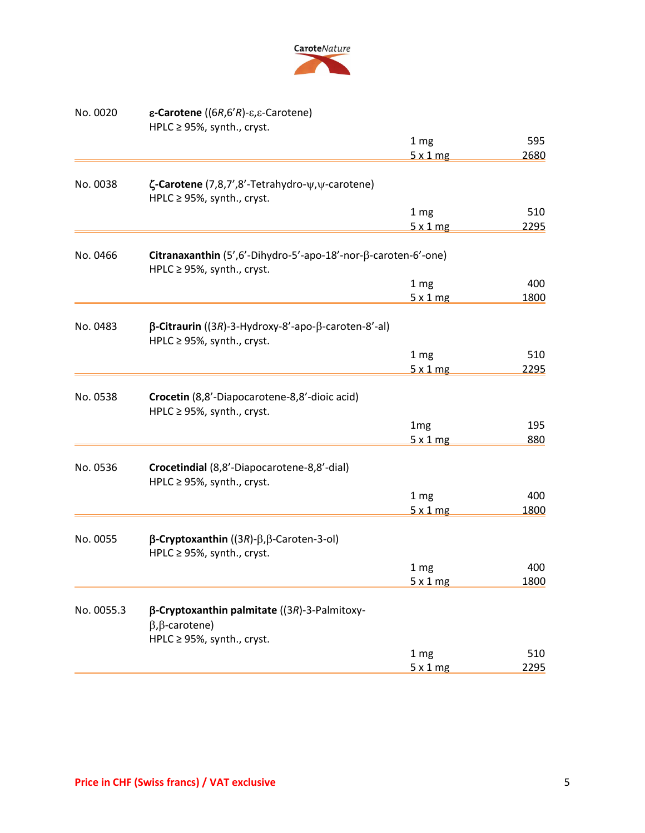

| No. 0020   | $\epsilon$ -Carotene ((6R,6'R)-ε,ε-Carotene)                                       |                 |      |
|------------|------------------------------------------------------------------------------------|-----------------|------|
|            | HPLC ≥ 95%, synth., cryst.                                                         |                 |      |
|            |                                                                                    | 1 <sub>mg</sub> | 595  |
|            |                                                                                    | 5x1mg           | 2680 |
|            |                                                                                    |                 |      |
| No. 0038   | ζ-Carotene (7,8,7',8'-Tetrahydro-ψ,ψ-carotene)                                     |                 |      |
|            | HPLC $\geq$ 95%, synth., cryst.                                                    |                 |      |
|            |                                                                                    | 1 <sub>mg</sub> | 510  |
|            |                                                                                    | 5x1mg           | 2295 |
|            |                                                                                    |                 |      |
| No. 0466   | Citranaxanthin $(5', 6'$ -Dihydro- $5'$ -apo-18'-nor- $\beta$ -caroten- $6'$ -one) |                 |      |
|            | HPLC ≥ 95%, synth., cryst.                                                         |                 |      |
|            |                                                                                    | 1 <sub>mg</sub> | 400  |
|            |                                                                                    | 5x1mg           | 1800 |
|            |                                                                                    |                 |      |
| No. 0483   | $\beta$ -Citraurin ((3R)-3-Hydroxy-8'-apo- $\beta$ -caroten-8'-al)                 |                 |      |
|            | HPLC $\geq$ 95%, synth., cryst.                                                    |                 |      |
|            |                                                                                    | 1 <sub>mg</sub> | 510  |
|            |                                                                                    | 5x1mg           | 2295 |
|            |                                                                                    |                 |      |
| No. 0538   | Crocetin (8,8'-Diapocarotene-8,8'-dioic acid)                                      |                 |      |
|            | HPLC ≥ 95%, synth., cryst.                                                         |                 |      |
|            |                                                                                    | 1 <sub>mg</sub> | 195  |
|            |                                                                                    | 5x1mg           | 880  |
|            |                                                                                    |                 |      |
| No. 0536   | Crocetindial (8,8'-Diapocarotene-8,8'-dial)                                        |                 |      |
|            | HPLC $\geq$ 95%, synth., cryst.                                                    |                 |      |
|            |                                                                                    | 1 <sub>mg</sub> | 400  |
|            |                                                                                    | 5x1mg           | 1800 |
|            |                                                                                    |                 |      |
| No. 0055   | $\beta$ -Cryptoxanthin ((3R)- $\beta$ , $\beta$ -Caroten-3-ol)                     |                 |      |
|            | HPLC $\geq$ 95%, synth., cryst.                                                    |                 |      |
|            |                                                                                    | 1 mg            | 400  |
|            |                                                                                    | 5x1mg           | 1800 |
|            |                                                                                    |                 |      |
| No. 0055.3 | $\beta$ -Cryptoxanthin palmitate ((3R)-3-Palmitoxy-                                |                 |      |
|            | $\beta$ , $\beta$ -carotene)                                                       |                 |      |
|            | HPLC ≥ 95%, synth., cryst.                                                         |                 |      |
|            |                                                                                    | 1 <sub>mg</sub> | 510  |
|            |                                                                                    | 5x1mg           | 2295 |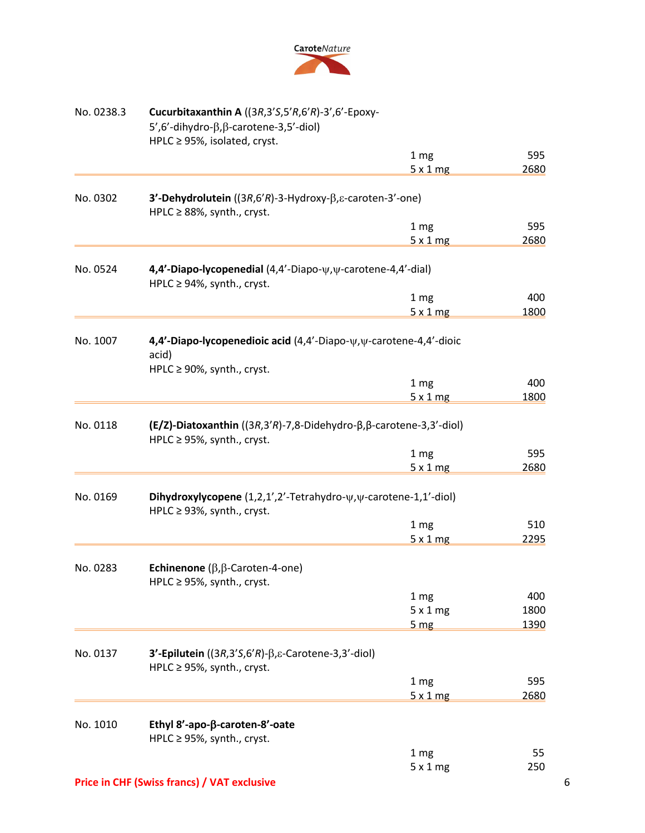

| Cucurbitaxanthin A ((3R,3'S,5'R,6'R)-3',6'-Epoxy-<br>5',6'-dihydro- $\beta$ , $\beta$ -carotene-3,5'-diol)     |                                                                    |                                                                                                                                                                                                                                                                                                                                                                                                           |  |  |
|----------------------------------------------------------------------------------------------------------------|--------------------------------------------------------------------|-----------------------------------------------------------------------------------------------------------------------------------------------------------------------------------------------------------------------------------------------------------------------------------------------------------------------------------------------------------------------------------------------------------|--|--|
| HPLC ≥ 95%, isolated, cryst.                                                                                   |                                                                    |                                                                                                                                                                                                                                                                                                                                                                                                           |  |  |
|                                                                                                                |                                                                    | 595                                                                                                                                                                                                                                                                                                                                                                                                       |  |  |
|                                                                                                                |                                                                    | 2680                                                                                                                                                                                                                                                                                                                                                                                                      |  |  |
|                                                                                                                |                                                                    |                                                                                                                                                                                                                                                                                                                                                                                                           |  |  |
|                                                                                                                |                                                                    | 595                                                                                                                                                                                                                                                                                                                                                                                                       |  |  |
|                                                                                                                | 5x1mg                                                              | 2680                                                                                                                                                                                                                                                                                                                                                                                                      |  |  |
| HPLC $\geq$ 94%, synth., cryst.                                                                                |                                                                    |                                                                                                                                                                                                                                                                                                                                                                                                           |  |  |
|                                                                                                                | 1 mg                                                               | 400                                                                                                                                                                                                                                                                                                                                                                                                       |  |  |
|                                                                                                                | 5x1mg                                                              | 1800                                                                                                                                                                                                                                                                                                                                                                                                      |  |  |
| acid)<br>HPLC $\geq$ 90%, synth., cryst.                                                                       |                                                                    |                                                                                                                                                                                                                                                                                                                                                                                                           |  |  |
|                                                                                                                | 1 <sub>mg</sub>                                                    | 400                                                                                                                                                                                                                                                                                                                                                                                                       |  |  |
|                                                                                                                | 5x1mg                                                              | 1800                                                                                                                                                                                                                                                                                                                                                                                                      |  |  |
| HPLC $\geq$ 95%, synth., cryst.                                                                                | 1 <sub>mg</sub>                                                    | 595                                                                                                                                                                                                                                                                                                                                                                                                       |  |  |
|                                                                                                                | 5x1mg                                                              | 2680                                                                                                                                                                                                                                                                                                                                                                                                      |  |  |
| Dihydroxylycopene $(1,2,1',2'-T$ etrahydro- $\psi$ , $\psi$ -carotene-1,1'-diol)<br>HPLC ≥ 93%, synth., cryst. |                                                                    |                                                                                                                                                                                                                                                                                                                                                                                                           |  |  |
|                                                                                                                | 1 <sub>mg</sub>                                                    | 510                                                                                                                                                                                                                                                                                                                                                                                                       |  |  |
|                                                                                                                | 5x1mg                                                              | 2295                                                                                                                                                                                                                                                                                                                                                                                                      |  |  |
| <b>Echinenone</b> ( $\beta$ , $\beta$ -Caroten-4-one)<br>HPLC ≥ 95%, synth., cryst.                            |                                                                    |                                                                                                                                                                                                                                                                                                                                                                                                           |  |  |
|                                                                                                                | 1 <sub>mg</sub>                                                    | 400                                                                                                                                                                                                                                                                                                                                                                                                       |  |  |
|                                                                                                                | $5 \times 1$ mg                                                    | 1800                                                                                                                                                                                                                                                                                                                                                                                                      |  |  |
|                                                                                                                | 5 <sub>mg</sub>                                                    | 1390                                                                                                                                                                                                                                                                                                                                                                                                      |  |  |
| 3'-Epilutein ( $(3R,3'S,6'R)$ - $\beta$ , $\varepsilon$ -Carotene-3,3'-diol)<br>HPLC ≥ 95%, synth., cryst.     |                                                                    |                                                                                                                                                                                                                                                                                                                                                                                                           |  |  |
|                                                                                                                | 1 <sub>mg</sub>                                                    | 595                                                                                                                                                                                                                                                                                                                                                                                                       |  |  |
|                                                                                                                | 5x1mg                                                              | 2680                                                                                                                                                                                                                                                                                                                                                                                                      |  |  |
| Ethyl 8'-apo-β-caroten-8'-oate                                                                                 |                                                                    |                                                                                                                                                                                                                                                                                                                                                                                                           |  |  |
|                                                                                                                |                                                                    | 55                                                                                                                                                                                                                                                                                                                                                                                                        |  |  |
|                                                                                                                | 5x1mg                                                              | 250                                                                                                                                                                                                                                                                                                                                                                                                       |  |  |
|                                                                                                                | HPLC $\geq$ 88%, synth., cryst.<br>HPLC $\geq$ 95%, synth., cryst. | 1 <sub>mg</sub><br>5x1mg<br>3'-Dehydrolutein $((3R,6'R)-3-Hydroxy-\beta,\epsilon\text{-}caroten-3'-one)$<br>1 <sub>mg</sub><br>4,4'-Diapo-lycopenedial (4,4'-Diapo- $\psi$ , $\psi$ -carotene-4,4'-dial)<br>4,4'-Diapo-lycopenedioic acid $(4,4'-Diapo-\psi,\psi\text{-}carotene-4,4'-diotic$<br>$(E/Z)$ -Diatoxanthin ((3R,3'R)-7,8-Didehydro- $\beta$ , $\beta$ -carotene-3,3'-diol)<br>1 <sub>mg</sub> |  |  |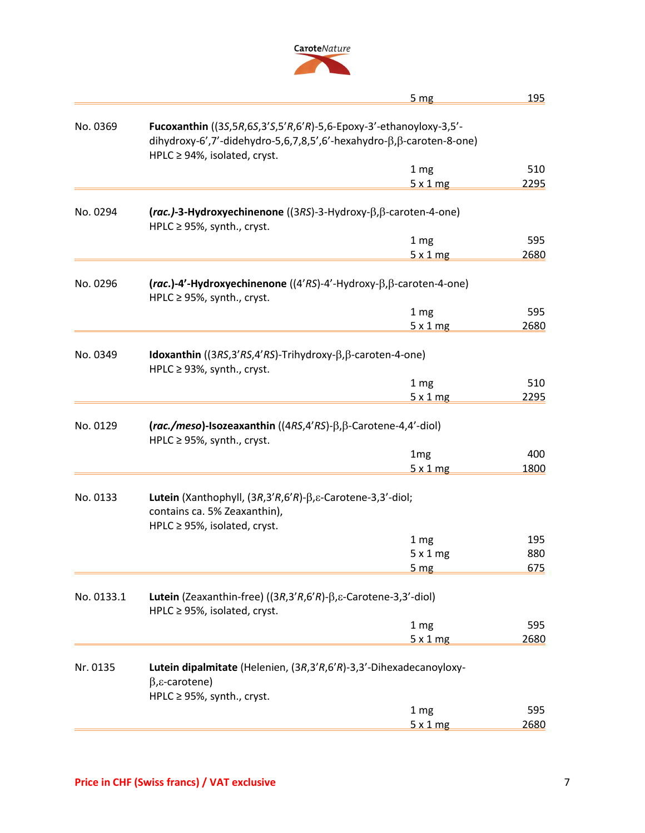

|            |                                                                                                                                                          | 5 <sub>mg</sub>          | <u>195</u>  |  |
|------------|----------------------------------------------------------------------------------------------------------------------------------------------------------|--------------------------|-------------|--|
| No. 0369   | <b>Fucoxanthin</b> ((3S, 5R, 6S, 3'S, 5'R, 6'R)-5, 6-Epoxy-3'-ethanoyloxy-3, 5'-<br>dihydroxy-6',7'-didehydro-5,6,7,8,5',6'-hexahydro-β,β-caroten-8-one) |                          |             |  |
|            | HPLC ≥ 94%, isolated, cryst.                                                                                                                             |                          |             |  |
|            |                                                                                                                                                          | 1 <sub>mg</sub>          | 510         |  |
|            |                                                                                                                                                          | 5x1mg                    | 2295        |  |
| No. 0294   | $rac{rac.}{-3}$ -Hydroxyechinenone ((3RS)-3-Hydroxy- $\beta$ , $\beta$ -caroten-4-one)<br>HPLC ≥ 95%, synth., cryst.                                     |                          |             |  |
|            |                                                                                                                                                          | 1 <sub>mg</sub>          | 595         |  |
|            |                                                                                                                                                          | 5x1mg                    | 2680        |  |
| No. 0296   | $rac{1}{2}$ /rac.)-4'-Hydroxyechinenone ((4'RS)-4'-Hydroxy- $\beta$ , $\beta$ -caroten-4-one)<br>HPLC ≥ 95%, synth., cryst.                              |                          |             |  |
|            |                                                                                                                                                          | 1 <sub>mg</sub>          | 595         |  |
|            |                                                                                                                                                          | 5x1mg                    | 2680        |  |
| No. 0349   | <b>Idoxanthin</b> ( $(3RS,3'RS,4'RS)$ -Trihydroxy- $\beta$ , $\beta$ -caroten-4-one)<br>HPLC $\geq$ 93%, synth., cryst.                                  | 1 <sub>mg</sub><br>5x1mg | 510<br>2295 |  |
| No. 0129   | $rac{\text{(rac./meso)}}{\text{-Isozeaxanthin} ((4RS,4'RS)-\beta,\beta\text{-Carotene-4},4'-diol)}}$<br>HPLC $\geq$ 95%, synth., cryst.                  |                          |             |  |
|            |                                                                                                                                                          | 1 <sub>mg</sub>          | 400         |  |
|            |                                                                                                                                                          | 5x1mg                    | 1800        |  |
| No. 0133   | Lutein (Xanthophyll, $(3R,3'R,6'R)$ - $\beta$ , $\varepsilon$ -Carotene-3,3'-diol;<br>contains ca. 5% Zeaxanthin),<br>HPLC $\geq$ 95%, isolated, cryst.  |                          |             |  |
|            |                                                                                                                                                          | 1 <sub>mg</sub>          | 195         |  |
|            |                                                                                                                                                          | $5 \times 1$ mg          | 880         |  |
|            |                                                                                                                                                          | <u>5 mg</u>              | 675         |  |
| No. 0133.1 | Lutein (Zeaxanthin-free) ((3R,3'R,6'R)-β,ε-Carotene-3,3'-diol)<br>HPLC ≥ 95%, isolated, cryst.                                                           |                          |             |  |
|            |                                                                                                                                                          | 1 <sub>mg</sub>          | 595         |  |
|            |                                                                                                                                                          | 5x1mg                    | 2680        |  |
| Nr. 0135   | Lutein dipalmitate (Helenien, (3R,3'R,6'R)-3,3'-Dihexadecanoyloxy-<br>$β, ε$ -carotene)<br>HPLC $\geq$ 95%, synth., cryst.                               |                          |             |  |
|            |                                                                                                                                                          | 1 <sub>mg</sub>          | 595         |  |
|            |                                                                                                                                                          | 5x1mg                    | 2680        |  |
|            |                                                                                                                                                          |                          |             |  |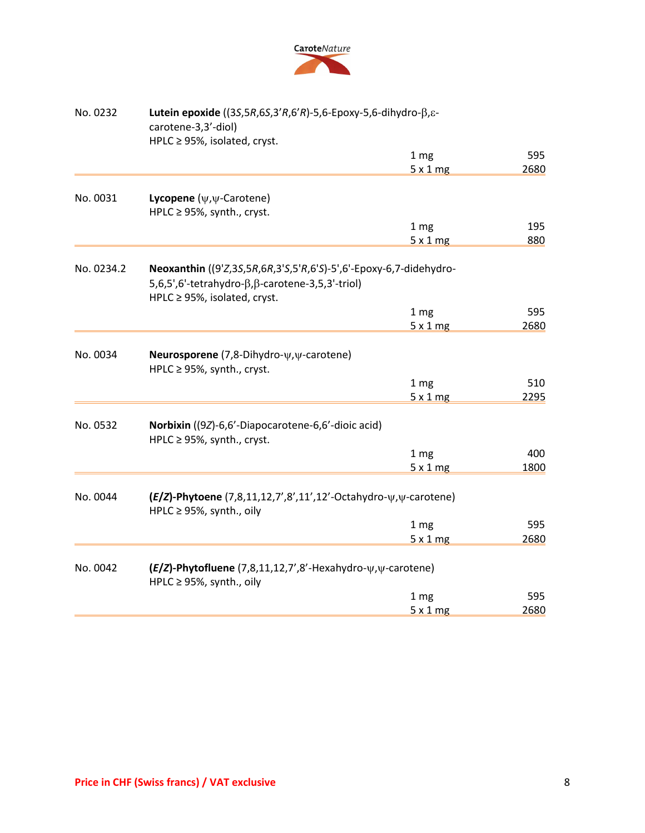

| No. 0232   | Lutein epoxide $((3S, 5R, 6S, 3'R, 6'R)$ -5,6-Epoxy-5,6-dihydro- $\beta$ , $\varepsilon$ -<br>carotene-3,3'-diol)                    |                 |      |
|------------|--------------------------------------------------------------------------------------------------------------------------------------|-----------------|------|
|            | HPLC ≥ 95%, isolated, cryst.                                                                                                         |                 |      |
|            |                                                                                                                                      | 1 <sub>mg</sub> | 595  |
|            |                                                                                                                                      | 5x1mg           | 2680 |
|            |                                                                                                                                      |                 |      |
| No. 0031   | Lycopene $(\psi, \psi$ -Carotene)<br>HPLC ≥ 95%, synth., cryst.                                                                      |                 |      |
|            |                                                                                                                                      | 1 <sub>mg</sub> | 195  |
|            |                                                                                                                                      | 5x1mg           | 880  |
|            |                                                                                                                                      |                 |      |
| No. 0234.2 | Neoxanthin ((9'Z,3S,5R,6R,3'S,5'R,6'S)-5',6'-Epoxy-6,7-didehydro-<br>$5,6,5',6'$ -tetrahydro- $\beta, \beta$ -carotene-3,5,3'-triol) |                 |      |
|            | HPLC $\geq$ 95%, isolated, cryst.                                                                                                    |                 |      |
|            |                                                                                                                                      | 1 <sub>mg</sub> | 595  |
|            |                                                                                                                                      | 5x1mg           | 2680 |
|            |                                                                                                                                      |                 |      |
| No. 0034   | <b>Neurosporene</b> (7,8-Dihydro-ψ,ψ-carotene)                                                                                       |                 |      |
|            | HPLC $\geq$ 95%, synth., cryst.                                                                                                      |                 |      |
|            |                                                                                                                                      | 1 <sub>mg</sub> | 510  |
|            |                                                                                                                                      | 5x1mg           | 2295 |
| No. 0532   | Norbixin ((9Z)-6,6'-Diapocarotene-6,6'-dioic acid)                                                                                   |                 |      |
|            | HPLC ≥ 95%, synth., cryst.                                                                                                           |                 |      |
|            |                                                                                                                                      | 1 mg            | 400  |
|            |                                                                                                                                      | 5x1mg           | 1800 |
|            |                                                                                                                                      |                 |      |
| No. 0044   | (E/Z)-Phytoene (7,8,11,12,7',8',11',12'-Octahydro-ψ,ψ-carotene)<br>HPLC $\geq$ 95%, synth., oily                                     |                 |      |
|            |                                                                                                                                      | 1 <sub>mg</sub> | 595  |
|            |                                                                                                                                      | 5x1mg           | 2680 |
|            |                                                                                                                                      |                 |      |
| No. 0042   | $(E/Z)$ -Phytofluene (7,8,11,12,7',8'-Hexahydro- $\psi$ , $\psi$ -carotene)<br>HPLC ≥ 95%, synth., oily                              |                 |      |
|            |                                                                                                                                      | 1 <sub>mg</sub> | 595  |
|            |                                                                                                                                      | 5x1mg           | 2680 |
|            |                                                                                                                                      |                 |      |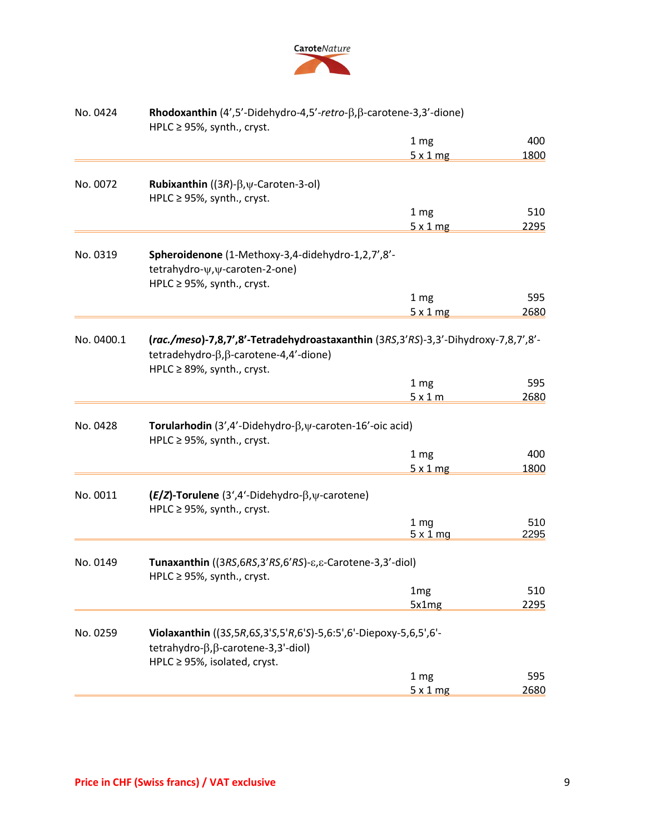

| No. 0424   | Rhodoxanthin $(4', 5'$ -Didehydro-4,5'-retro- $\beta$ , $\beta$ -carotene-3,3'-dione)                 |                          |      |  |  |
|------------|-------------------------------------------------------------------------------------------------------|--------------------------|------|--|--|
|            | HPLC $\geq$ 95%, synth., cryst.                                                                       |                          |      |  |  |
|            |                                                                                                       | 1 <sub>mg</sub>          | 400  |  |  |
|            |                                                                                                       | 5x1mg                    | 1800 |  |  |
|            |                                                                                                       |                          |      |  |  |
| No. 0072   | Rubixanthin ( $(3R)$ - $\beta$ , $\psi$ -Caroten-3-ol)                                                |                          |      |  |  |
|            | HPLC $\geq$ 95%, synth., cryst.                                                                       |                          | 510  |  |  |
|            |                                                                                                       | 1 <sub>mg</sub><br>5x1mg | 2295 |  |  |
|            |                                                                                                       |                          |      |  |  |
| No. 0319   | Spheroidenone (1-Methoxy-3,4-didehydro-1,2,7',8'-                                                     |                          |      |  |  |
|            | tetrahydro-w, w-caroten-2-one)                                                                        |                          |      |  |  |
|            | HPLC $\geq$ 95%, synth., cryst.                                                                       |                          |      |  |  |
|            |                                                                                                       | 1 <sub>mg</sub>          | 595  |  |  |
|            |                                                                                                       | 5x1mg                    | 2680 |  |  |
|            |                                                                                                       |                          |      |  |  |
| No. 0400.1 | (rac./meso)-7,8,7',8'-Tetradehydroastaxanthin (3RS,3'RS)-3,3'-Dihydroxy-7,8,7',8'-                    |                          |      |  |  |
|            | tetradehydro-β,β-carotene-4,4'-dione)                                                                 |                          |      |  |  |
|            | HPLC ≥ 89%, synth., cryst.                                                                            |                          |      |  |  |
|            |                                                                                                       | 1 <sub>mg</sub>          | 595  |  |  |
|            |                                                                                                       | 5x1m                     | 2680 |  |  |
|            |                                                                                                       |                          |      |  |  |
| No. 0428   |                                                                                                       |                          |      |  |  |
|            | Torularhodin $(3', 4'$ -Didehydro- $\beta, \psi$ -caroten-16'-oic acid)<br>HPLC ≥ 95%, synth., cryst. |                          |      |  |  |
|            |                                                                                                       |                          | 400  |  |  |
|            |                                                                                                       | 1 <sub>mg</sub>          | 1800 |  |  |
|            |                                                                                                       | 5x1mg                    |      |  |  |
| No. 0011   | $(E/Z)$ -Torulene (3',4'-Didehydro- $\beta$ , $\psi$ -carotene)                                       |                          |      |  |  |
|            | HPLC $\geq$ 95%, synth., cryst.                                                                       |                          |      |  |  |
|            |                                                                                                       | 1 $mg$                   | 510  |  |  |
|            |                                                                                                       | 5x1mg                    | 2295 |  |  |
|            |                                                                                                       |                          |      |  |  |
| No. 0149   | Tunaxanthin ((3RS, 6RS, 3'RS, 6'RS)-ε, ε-Carotene-3, 3'-diol)                                         |                          |      |  |  |
|            | HPLC ≥ 95%, synth., cryst.                                                                            |                          |      |  |  |
|            |                                                                                                       | 1 <sub>mg</sub>          | 510  |  |  |
|            |                                                                                                       | 5x1mg                    | 2295 |  |  |
|            |                                                                                                       |                          |      |  |  |
| No. 0259   | Violaxanthin ((35,5R,6S,3'S,5'R,6'S)-5,6:5',6'-Diepoxy-5,6,5',6'-                                     |                          |      |  |  |
|            | tetrahydro-β,β-carotene-3,3'-diol)                                                                    |                          |      |  |  |
|            | HPLC ≥ 95%, isolated, cryst.                                                                          |                          |      |  |  |
|            |                                                                                                       | 1 <sub>mg</sub>          | 595  |  |  |
|            |                                                                                                       | 5x1mg                    | 2680 |  |  |